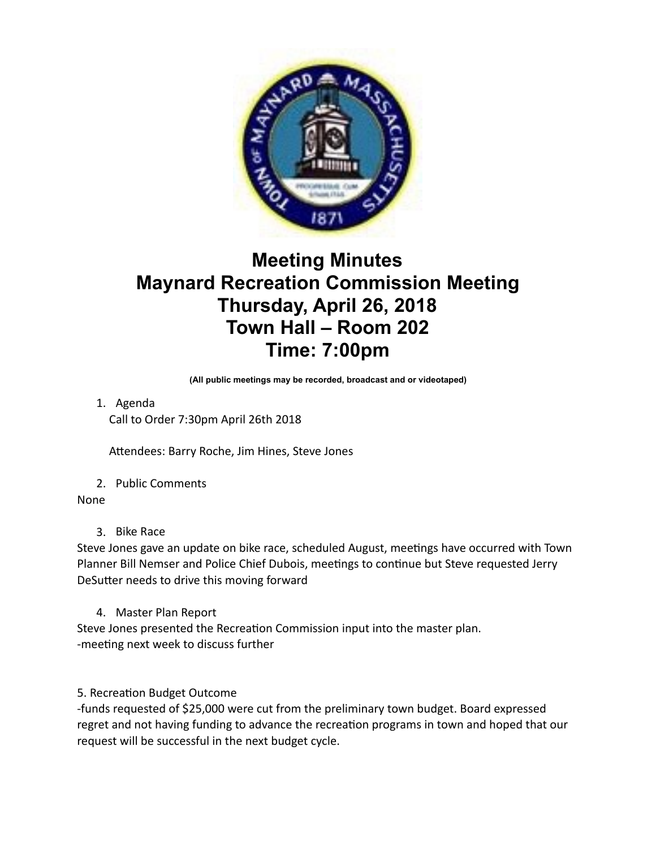

## **Meeting Minutes Maynard Recreation Commission Meeting Thursday, April 26, 2018 Town Hall – Room 202 Time: 7:00pm**

**(All public meetings may be recorded, broadcast and or videotaped)** 

1. Agenda

Call to Order 7:30pm April 26th 2018

Attendees: Barry Roche, Jim Hines, Steve Jones

2. Public Comments

## None

3. Bike Race

Steve Jones gave an update on bike race, scheduled August, meetings have occurred with Town Planner Bill Nemser and Police Chief Dubois, meetings to continue but Steve requested Jerry DeSutter needs to drive this moving forward

4. Master Plan Report

Steve Jones presented the Recreation Commission input into the master plan. -meeting next week to discuss further

5. Recreation Budget Outcome

-funds requested of \$25,000 were cut from the preliminary town budget. Board expressed regret and not having funding to advance the recreation programs in town and hoped that our request will be successful in the next budget cycle.